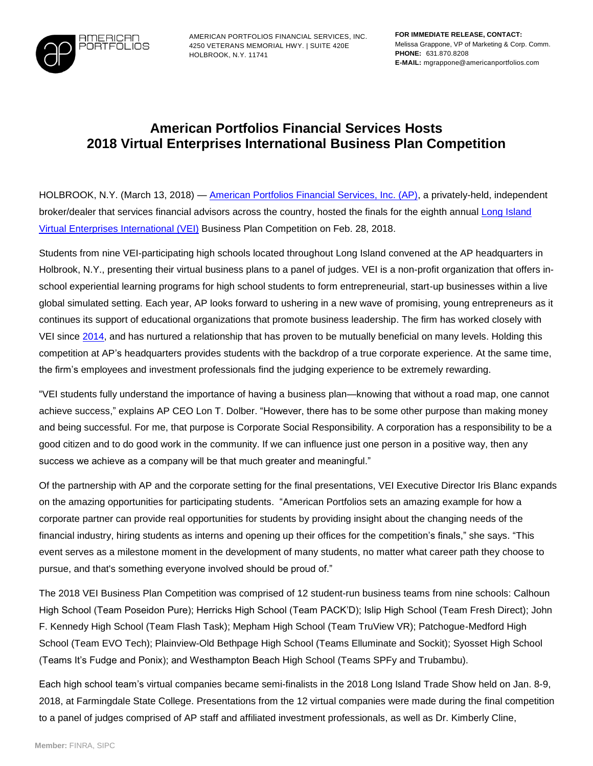

AMERICAN PORTFOLIOS FINANCIAL SERVICES, INC. 4250 VETERANS MEMORIAL HWY. | SUITE 420E HOLBROOK, N.Y. 11741

## **American Portfolios Financial Services Hosts 2018 Virtual Enterprises International Business Plan Competition**

HOLBROOK, N.Y. (March 13, 2018) — [American Portfolios Financial Services, Inc. \(AP\),](http://www.americanportfolios.com/) a privately-held, independent broker/dealer that services financial advisors across the country, hosted the finals for the eighth annual Long Island [Virtual Enterprises](https://veinternational.org/) International (VEI) Business Plan Competition on Feb. 28, 2018.

Students from nine VEI-participating high schools located throughout Long Island convened at the AP headquarters in Holbrook, N.Y., presenting their virtual business plans to a panel of judges. VEI is a non-profit organization that offers inschool experiential learning programs for high school students to form entrepreneurial, start-up businesses within a live global simulated setting. Each year, AP looks forward to ushering in a new wave of promising, young entrepreneurs as it continues its support of educational organizations that promote business leadership. The firm has worked closely with VEI since [2014,](https://www.americanportfolios.com/wp-content/uploads/2017/06/2014-03-28_vei-press-release.pdf) and has nurtured a relationship that has proven to be mutually beneficial on many levels. Holding this competition at AP's headquarters provides students with the backdrop of a true corporate experience. At the same time, the firm's employees and investment professionals find the judging experience to be extremely rewarding.

"VEI students fully understand the importance of having a business plan—knowing that without a road map, one cannot achieve success," explains AP CEO Lon T. Dolber. "However, there has to be some other purpose than making money and being successful. For me, that purpose is Corporate Social Responsibility. A corporation has a responsibility to be a good citizen and to do good work in the community. If we can influence just one person in a positive way, then any success we achieve as a company will be that much greater and meaningful."

Of the partnership with AP and the corporate setting for the final presentations, VEI Executive Director Iris Blanc expands on the amazing opportunities for participating students. "American Portfolios sets an amazing example for how a corporate partner can provide real opportunities for students by providing insight about the changing needs of the financial industry, hiring students as interns and opening up their offices for the competition's finals," she says. "This event serves as a milestone moment in the development of many students, no matter what career path they choose to pursue, and that's something everyone involved should be proud of."

The 2018 VEI Business Plan Competition was comprised of 12 student-run business teams from nine schools: Calhoun High School (Team Poseidon Pure); Herricks High School (Team PACK'D); Islip High School (Team Fresh Direct); John F. Kennedy High School (Team Flash Task); Mepham High School (Team TruView VR); Patchogue-Medford High School (Team EVO Tech); Plainview-Old Bethpage High School (Teams Elluminate and Sockit); Syosset High School (Teams It's Fudge and Ponix); and Westhampton Beach High School (Teams SPFy and Trubambu).

Each high school team's virtual companies became semi-finalists in the 2018 Long Island Trade Show held on Jan. 8-9, 2018, at Farmingdale State College. Presentations from the 12 virtual companies were made during the final competition to a panel of judges comprised of AP staff and affiliated investment professionals, as well as Dr. Kimberly Cline,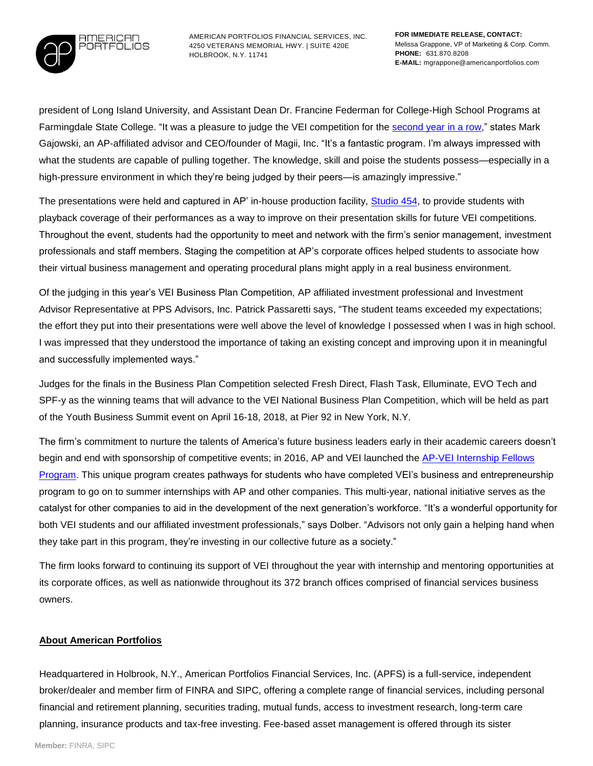

AMERICAN PORTFOLIOS FINANCIAL SERVICES, INC. 4250 VETERANS MEMORIAL HWY. | SUITE 420E HOLBROOK, N.Y. 11741

president of Long Island University, and Assistant Dean Dr. Francine Federman for College-High School Programs at Farmingdale State College. "It was a pleasure to judge the VEI competition for the **second year in a row**," states Mark Gajowski, an AP-affiliated advisor and CEO/founder of Magii, Inc. "It's a fantastic program. I'm always impressed with what the students are capable of pulling together. The knowledge, skill and poise the students possess—especially in a high-pressure environment in which they're being judged by their peers—is amazingly impressive."

The presentations were held and captured in AP' in-house production facility, [Studio 454,](https://www.americanportfolios.com/wp-content/uploads/2017/07/2017.07.25-Studio-454-Videographer-Award-PR.pdf) to provide students with playback coverage of their performances as a way to improve on their presentation skills for future VEI competitions. Throughout the event, students had the opportunity to meet and network with the firm's senior management, investment professionals and staff members. Staging the competition at AP's corporate offices helped students to associate how their virtual business management and operating procedural plans might apply in a real business environment.

Of the judging in this year's VEI Business Plan Competition, AP affiliated investment professional and Investment Advisor Representative at PPS Advisors, Inc. Patrick Passaretti says, "The student teams exceeded my expectations; the effort they put into their presentations were well above the level of knowledge I possessed when I was in high school. I was impressed that they understood the importance of taking an existing concept and improving upon it in meaningful and successfully implemented ways."

Judges for the finals in the Business Plan Competition selected Fresh Direct, Flash Task, Elluminate, EVO Tech and SPF-y as the winning teams that will advance to the VEI National Business Plan Competition, which will be held as part of the Youth Business Summit event on April 16-18, 2018, at Pier 92 in New York, N.Y.

The firm's commitment to nurture the talents of America's future business leaders early in their academic careers doesn't begin and end with sponsorship of competitive events; in 2016, AP and VEI launched the [AP-VEI Internship Fellows](http://www.marketwired.com/press-release/american-portfolios-financial-services-hosts-2017-virtual-enterprises-international-2203237.htm)  [Program.](http://www.marketwired.com/press-release/american-portfolios-financial-services-hosts-2017-virtual-enterprises-international-2203237.htm) This unique program creates pathways for students who have completed VEI's business and entrepreneurship program to go on to summer internships with AP and other companies. This multi-year, national initiative serves as the catalyst for other companies to aid in the development of the next generation's workforce. "It's a wonderful opportunity for both VEI students and our affiliated investment professionals," says Dolber. "Advisors not only gain a helping hand when they take part in this program, they're investing in our collective future as a society."

The firm looks forward to continuing its support of VEI throughout the year with internship and mentoring opportunities at its corporate offices, as well as nationwide throughout its 372 branch offices comprised of financial services business owners.

## **About American Portfolios**

Headquartered in Holbrook, N.Y., American Portfolios Financial Services, Inc. (APFS) is a full-service, independent broker/dealer and member firm of FINRA and SIPC, offering a complete range of financial services, including personal financial and retirement planning, securities trading, mutual funds, access to investment research, long-term care planning, insurance products and tax-free investing. Fee-based asset management is offered through its sister